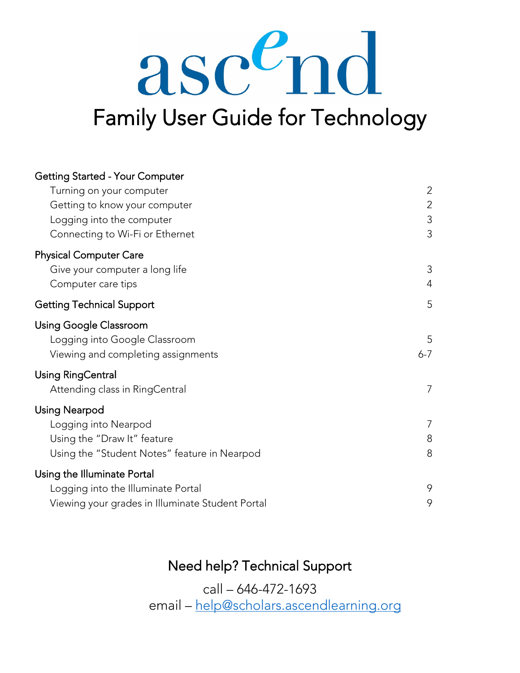# asc<sup>e</sup>nd Family User Guide for Technology

| <b>Getting Started - Your Computer</b>           |                |
|--------------------------------------------------|----------------|
| Turning on your computer                         | $\overline{2}$ |
| Getting to know your computer                    | $\overline{2}$ |
| Logging into the computer                        | 3              |
| Connecting to Wi-Fi or Ethernet                  | 3              |
| <b>Physical Computer Care</b>                    |                |
| Give your computer a long life                   | 3              |
| Computer care tips                               | $\overline{4}$ |
| <b>Getting Technical Support</b>                 | 5              |
| <b>Using Google Classroom</b>                    |                |
| Logging into Google Classroom                    | 5              |
| Viewing and completing assignments               | $6 - 7$        |
| Using RingCentral                                |                |
| Attending class in RingCentral                   | 7              |
| <b>Using Nearpod</b>                             |                |
| Logging into Nearpod                             | 7              |
| Using the "Draw It" feature                      | 8              |
| Using the "Student Notes" feature in Nearpod     | 8              |
| Using the Illuminate Portal                      |                |
| Logging into the Illuminate Portal               | 9              |
| Viewing your grades in Illuminate Student Portal | 9              |

# Need help? Technical Support

call – 646-472-1693 email – [help@scholars.ascendlearning.org](mailto:help@scholars.ascendlearning.org)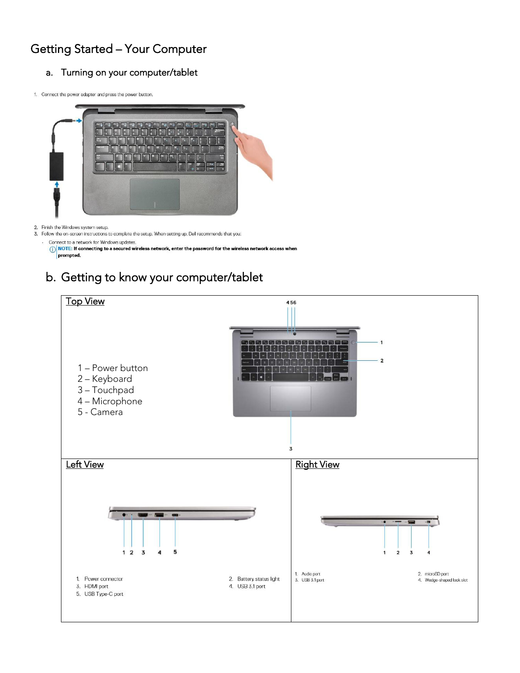# Getting Started – Your Computer

#### a. Turning on your computer/tablet

1. Connect the power adapter and press the power button.



2. Finish the Windows system setup.

3. Follow the on-screen instructions to complete the setup. When setting up, Dell recommends that you: Connect to a network for Windows updates

O NOTE: If connecting to a secured wireless network, enter the password for the wireless network access when prompted.

# b. Getting to know your computer/tablet

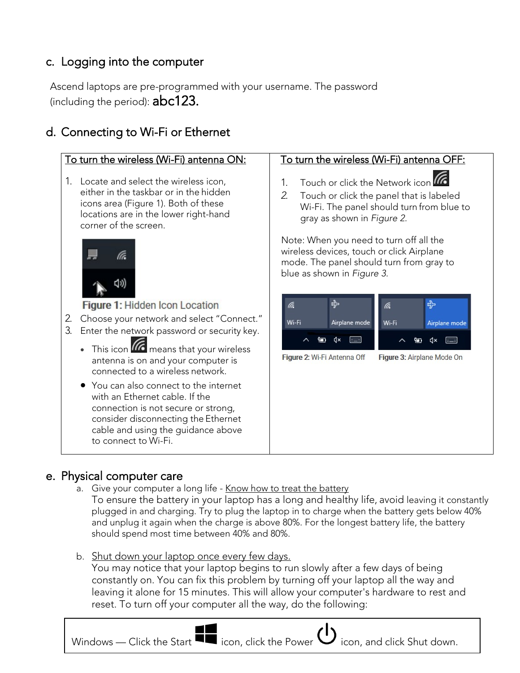# c. Logging into the computer

Ascend laptops are pre-programmed with your username. The password (including the period): abc123.

# d. Connecting to Wi-Fi or Ethernet



e. Physical computer care<br>a. Give your computer a long life - <u>Know how to treat the battery</u><br>To ensure the battery in your laptop has a long and healthy life, avoid leaving it constantly plugged in and charging. Try to plug the laptop in to charge when the battery gets below 40% and unplug it again when the charge is above 80%. For the longest battery life, the battery should spend most time between 40% and 80%.

b. Shut down your laptop once every few days.

You may notice that your laptop begins to run slowly after a few days of being constantly on. You can fix this problem by turning off your laptop all the way and leaving it alone for 15 minutes. This will allow your computer's hardware to rest and reset. To turn off your computer all the way, do the following:

Windows — Click the Start  $\blacksquare$  icon, click the Power  $\mathbf{\dot{U}}$  icon, and click Shut down.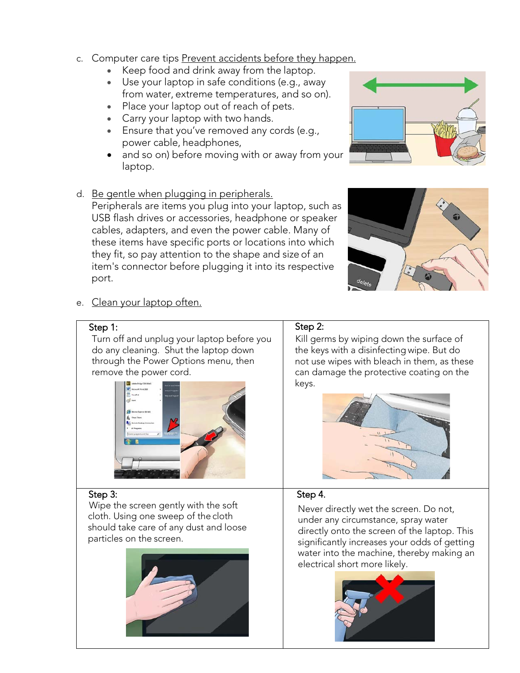- c. Computer care tips Prevent accidents before they happen.
	- Keep food and drink away from the laptop.
	- Use your laptop in safe conditions (e.g., away from water, extreme temperatures, and so on).
	- Place your laptop out of reach of pets.
	- Carry your laptop with two hands.
	- Ensure that you've removed any cords (e.g., power cable, headphones,
	- and so on) before moving with or away from your laptop.
- d. Be gentle when plugging in peripherals.

Peripherals are items you plug into your laptop, such as USB flash drives or accessories, headphone or speaker cables, adapters, and even the power cable. Many of these items have specific ports or locations into which they fit, so pay attention to the shape and size of an item's connector before plugging it into its respective port.





e. Clean your laptop often.

#### Step 1:

Turn off and unplug your laptop before you do any cleaning. Shut the laptop down through the Power Options menu, then remove the power cord.



#### Step 3:

 Wipe the screen gently with the soft cloth. Using one sweep of the cloth should take care of any dust and loose particles on the screen.



#### Step 2:

Kill germs by wiping down the surface of the keys with a disinfecting wipe. But do not use wipes with bleach in them, as these can damage the protective coating on the keys.



## Step 4.

Never directly wet the screen. Do not, under any circumstance, spray water directly onto the screen of the laptop. This significantly increases your odds of getting water into the machine, thereby making an electrical short more likely.

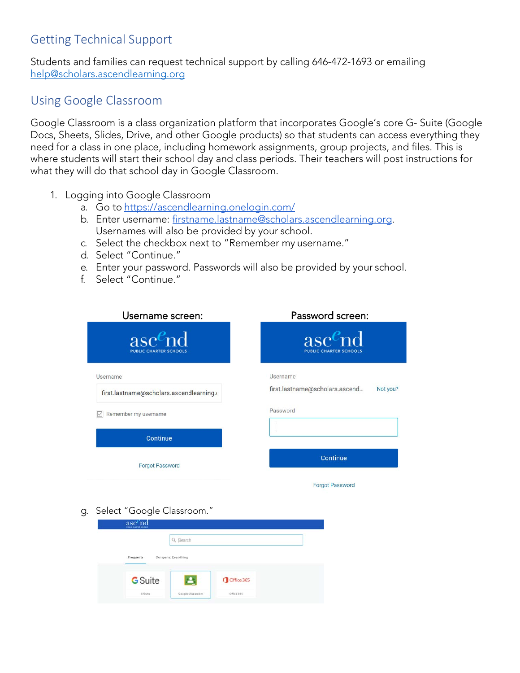# Getting Technical Support

Students and families can request technical support by calling 646-472-1693 or emailing [help@scholars.ascendlearning.org](mailto:help@scholars.ascendlearning.org.)

# Using Google Classroom

Google Classroom is a class organization platform that incorporates Google's core G- Suite (Google Docs, Sheets, Slides, Drive, and other Google products) so that students can access everything they need for a class in one place, including homework assignments, group projects, and files. This is where students will start their school day and class periods. Their teachers will post instructions for what they will do that school day in Google Classroom.

- <span id="page-4-0"></span>1. Logging into Google Classroom
	- a. Go to <https://ascendlearning.onelogin.com/>
	- b. Enter username: [firstname.lastname@scholars.ascendlearning.org.](mailto:firstname.lastname@ascendlearning.org) Usernames will also be provided by your school.
	- c. Select the checkbox next to "Remember my username."
	- d. Select "Continue."
	- e. Enter your password. Passwords will also be provided by your school.
	- f. Select "Continue."

| Username screen:                            | Password screen:                            |
|---------------------------------------------|---------------------------------------------|
| $asc^e$ nd<br><b>PUBLIC CHARTER SCHOOLS</b> | $asc^e$ nd<br><b>PUBLIC CHARTER SCHOOLS</b> |
| Username                                    | Username                                    |
| first.lastname@scholars.ascendlearning.o    | first.lastname@scholars.ascend<br>Not you?  |
| Remember my username                        | Password                                    |
| Continue                                    |                                             |
| <b>Forgot Password</b>                      | Continue                                    |
|                                             | <b>Forgot Password</b>                      |

g. Select "Google Classroom."

|                | Q Search            |            |  |
|----------------|---------------------|------------|--|
|                |                     |            |  |
| Frequents      | Company: Everything |            |  |
|                |                     |            |  |
|                | ≞                   | Office 365 |  |
| <b>G</b> Suite |                     |            |  |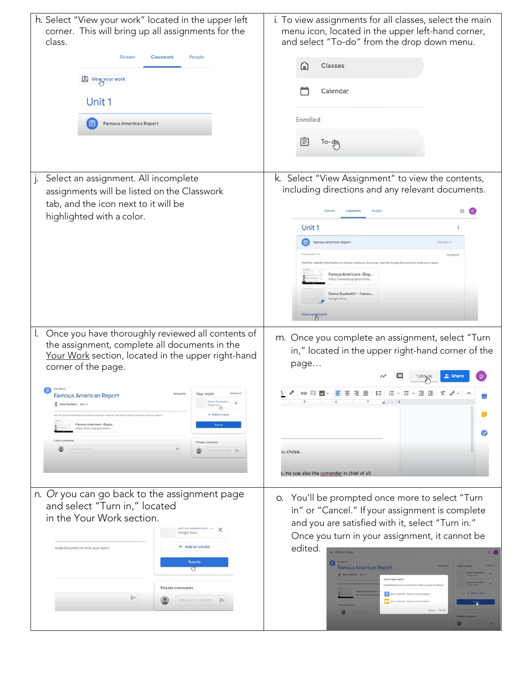| h. Select "View your work" located in the upper left<br>corner. This will bring up all assignments for the<br>class.<br><b>Stream</b><br>Classwork<br>People<br><b>A</b> View your work<br>Unit 1<br><b>Famous American Report</b><br>目                                                                                                                                                                                                                                                                                                                                                | i. To view assignments for all classes, select the main<br>menu icon, located in the upper left-hand corner,<br>and select "To-do" from the drop down menu.<br>Classes<br>⋔<br>Calendar<br>Enrolled<br>⊜<br>To-gm                                                                                                                                                                                                                                             |
|----------------------------------------------------------------------------------------------------------------------------------------------------------------------------------------------------------------------------------------------------------------------------------------------------------------------------------------------------------------------------------------------------------------------------------------------------------------------------------------------------------------------------------------------------------------------------------------|---------------------------------------------------------------------------------------------------------------------------------------------------------------------------------------------------------------------------------------------------------------------------------------------------------------------------------------------------------------------------------------------------------------------------------------------------------------|
| Select an assignment. All incomplete<br>$\cdot$<br>assignments will be listed on the Classwork<br>tab, and the icon next to it will be<br>highlighted with a color.                                                                                                                                                                                                                                                                                                                                                                                                                    | k. Select "View Assignment" to view the contents,<br>including directions and any relevant documents.<br>⊞<br>Classwork<br>Unit 1<br>国<br>Famous American Report<br>Due Mar 27<br>Assigned<br>vebsite linked below to choose a famous American. Use the Google Document to write your repor<br>Famous Americans - Biog.<br>tos://www.biographyor<br>Demo Student01 - Famou.<br>Google Docs<br>View assignmen                                                  |
| Once you have thoroughly reviewed all contents of<br>the assignment, complete all documents in the<br>Your Work section, located in the upper right-hand<br>corner of the page.<br>Oue Mar 27<br>too points<br>Your work<br>Assigned<br><b>Famous American Report</b><br>Demo Student01- X<br>C Demo Teacher01 Mar.19<br>Dama Serang<br>+ Add or create<br>cluste limited below to choose a famous American. Use the Google Document to write your report<br>Famous Americans - Biogra<br><b>Turn in</b><br>ttps://www.biographyonline.n.<br>$\triangleright$<br>Although Editorial De | m. Once you complete an assignment, select "Turn<br>in," located in the upper right-hand corner of the<br>page<br>IΞ<br>ou chose.<br>s. He was also the comander in chief of all                                                                                                                                                                                                                                                                              |
| n. Or you can go back to the assignment page<br>and select "Turn in," located<br>in the Your Work section.<br>Google Docs<br>+ Add or create<br>oogle Document to write your report.<br>Turn in<br>ਹ<br>Private comments<br>$\triangleright$<br>Add private comment                                                                                                                                                                                                                                                                                                                    | o. You'll be prompted once more to select "Turn<br>in" or "Cancel." If your assignment is complete<br>and you are satisfied with it, select "Turn in."<br>Once you turn in your assignment, it cannot be<br>edited.<br>Demo Class<br>$III = 0$<br><b>Famous American Report</b><br><b>C Demo brackerps</b> Star 15<br>Turn in your work?<br>I attachments will be submitted for Vannus American Rep<br>Denis Musertill - Fanous American Repo<br>Cancel Turni |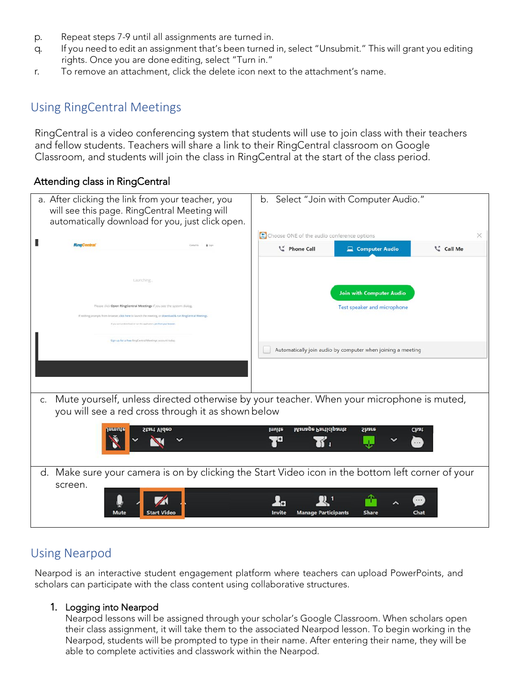- p. Repeat steps 7-9 until all assignments are turned in.
- q. If you need to edit an assignment that's been turned in, select "Unsubmit." This will grant you editing rights. Once you are done editing, select "Turn in."
- r. To remove an attachment, click the delete icon next to the attachment's name.

# Using RingCentral Meetings

RingCentral is a video conferencing system that students will use to join class with their teachers and fellow students. Teachers will share a link to their RingCentral classroom on Google Classroom, and students will join the class in RingCentral at the start of the class period.

## <span id="page-6-0"></span>Attending class in RingCentral

| a. After clicking the link from your teacher, you<br>will see this page. RingCentral Meeting will<br>automatically download for you, just click open.                          |        |                                            | b. Select "Join with Computer Audio."                       |           |  |
|--------------------------------------------------------------------------------------------------------------------------------------------------------------------------------|--------|--------------------------------------------|-------------------------------------------------------------|-----------|--|
|                                                                                                                                                                                |        | Choose ONE of the audio conference options |                                                             |           |  |
| <b>RingCentral</b>                                                                                                                                                             |        | C Phone Call                               | Computer Audio                                              | C Call Me |  |
| Launching.                                                                                                                                                                     |        |                                            |                                                             |           |  |
|                                                                                                                                                                                |        |                                            | <b>Join with Computer Audio</b>                             |           |  |
| Please click Open RingCentral Meetings if you see the system dialog                                                                                                            |        |                                            | Test speaker and microphone                                 |           |  |
| If nothing prompts from browser, click here to launch the meeting, or download & run RingCentral Meetings<br>Futur carriers deliverised or our the application, just from your |        |                                            |                                                             |           |  |
|                                                                                                                                                                                |        |                                            |                                                             |           |  |
| Sign up for a free RingCentral Meetings account today                                                                                                                          |        |                                            |                                                             |           |  |
|                                                                                                                                                                                |        |                                            | Automatically join audio by computer when joining a meeting |           |  |
|                                                                                                                                                                                |        |                                            |                                                             |           |  |
|                                                                                                                                                                                |        |                                            |                                                             |           |  |
| Mute yourself, unless directed otherwise by your teacher. When your microphone is muted,<br>C.                                                                                 |        |                                            |                                                             |           |  |
| you will see a red cross through it as shown below                                                                                                                             |        |                                            |                                                             |           |  |
|                                                                                                                                                                                |        |                                            |                                                             |           |  |
| nmute<br>Start Video                                                                                                                                                           | Invite | <b>Manage Participants</b>                 | Share                                                       | Chat      |  |
|                                                                                                                                                                                |        |                                            |                                                             |           |  |
|                                                                                                                                                                                |        |                                            |                                                             |           |  |
| d. Make sure your camera is on by clicking the Start Video icon in the bottom left corner of your                                                                              |        |                                            |                                                             |           |  |
| screen.                                                                                                                                                                        |        |                                            |                                                             |           |  |
|                                                                                                                                                                                |        |                                            |                                                             |           |  |
| Mute                                                                                                                                                                           | Invite | <b>Manage Participants</b>                 | <b>Share</b>                                                | Chat      |  |

# Using Nearpod

Nearpod is an interactive student engagement platform where teachers can upload PowerPoints, and scholars can participate with the class content using collaborative structures.

#### <span id="page-6-1"></span>1. Logging into Nearpod

Nearpod lessons will be assigned through your scholar's Google Classroom. When scholars open their class assignment, it will take them to the associated Nearpod lesson. To begin working in the Nearpod, students will be prompted to type in their name. After entering their name, they will be able to complete activities and classwork within the Nearpod.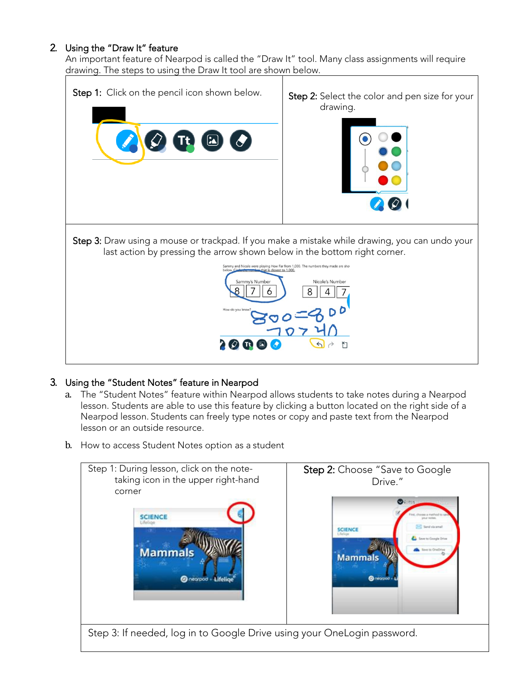#### 2. Using the "Draw It" feature

An important feature of Nearpod is called the "Draw It" tool. Many class assignments will require drawing. The steps to using the Draw It tool are shown below.



## 3. Using the "Student Notes" feature in Nearpod

- a. The "Student Notes" feature within Nearpod allows students to take notes during a Nearpod lesson. Students are able to use this feature by clicking a button located on the right side of a Nearpod lesson. Students can freely type notes or copy and paste text from the Nearpod lesson or an outside resource.
- b. How to access Student Notes option as a student